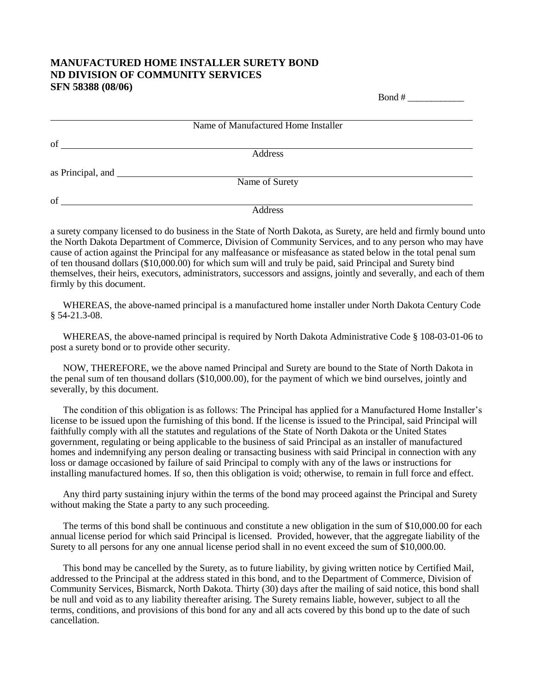## **MANUFACTURED HOME INSTALLER SURETY BOND ND DIVISION OF COMMUNITY SERVICES SFN 58388 (08/06)**

|    | Name of Manufactured Home Installer |  |
|----|-------------------------------------|--|
| of |                                     |  |
|    | Address                             |  |
|    |                                     |  |
|    | Name of Surety                      |  |
| of |                                     |  |
|    | Address                             |  |

 $\text{Bond } \#$ 

a surety company licensed to do business in the State of North Dakota, as Surety, are held and firmly bound unto the North Dakota Department of Commerce, Division of Community Services, and to any person who may have cause of action against the Principal for any malfeasance or misfeasance as stated below in the total penal sum of ten thousand dollars (\$10,000.00) for which sum will and truly be paid, said Principal and Surety bind themselves, their heirs, executors, administrators, successors and assigns, jointly and severally, and each of them firmly by this document.

WHEREAS, the above-named principal is a manufactured home installer under North Dakota Century Code § 54-21.3-08.

WHEREAS, the above-named principal is required by North Dakota Administrative Code § 108-03-01-06 to post a surety bond or to provide other security.

NOW, THEREFORE, we the above named Principal and Surety are bound to the State of North Dakota in the penal sum of ten thousand dollars (\$10,000.00), for the payment of which we bind ourselves, jointly and severally, by this document.

The condition of this obligation is as follows: The Principal has applied for a Manufactured Home Installer's license to be issued upon the furnishing of this bond. If the license is issued to the Principal, said Principal will faithfully comply with all the statutes and regulations of the State of North Dakota or the United States government, regulating or being applicable to the business of said Principal as an installer of manufactured homes and indemnifying any person dealing or transacting business with said Principal in connection with any loss or damage occasioned by failure of said Principal to comply with any of the laws or instructions for installing manufactured homes. If so, then this obligation is void; otherwise, to remain in full force and effect.

Any third party sustaining injury within the terms of the bond may proceed against the Principal and Surety without making the State a party to any such proceeding.

The terms of this bond shall be continuous and constitute a new obligation in the sum of \$10,000.00 for each annual license period for which said Principal is licensed. Provided, however, that the aggregate liability of the Surety to all persons for any one annual license period shall in no event exceed the sum of \$10,000.00.

This bond may be cancelled by the Surety, as to future liability, by giving written notice by Certified Mail, addressed to the Principal at the address stated in this bond, and to the Department of Commerce, Division of Community Services, Bismarck, North Dakota. Thirty (30) days after the mailing of said notice, this bond shall be null and void as to any liability thereafter arising. The Surety remains liable, however, subject to all the terms, conditions, and provisions of this bond for any and all acts covered by this bond up to the date of such cancellation.